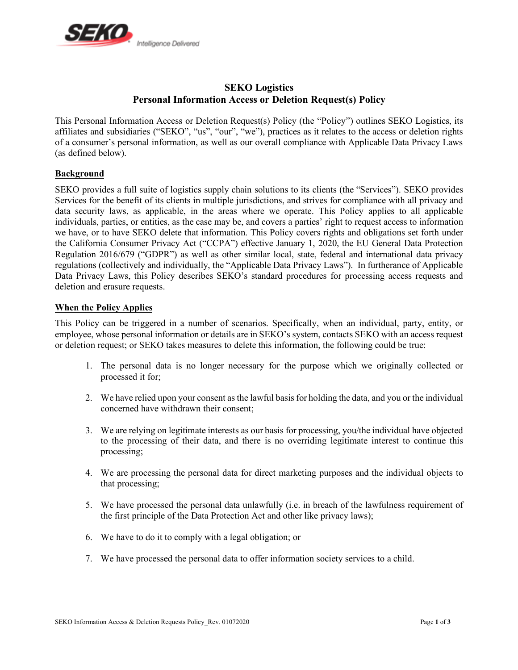

# **SEKO Logistics Personal Information Access or Deletion Request(s) Policy**

This Personal Information Access or Deletion Request(s) Policy (the "Policy") outlines SEKO Logistics, its affiliates and subsidiaries ("SEKO", "us", "our", "we"), practices as it relates to the access or deletion rights of a consumer's personal information, as well as our overall compliance with Applicable Data Privacy Laws (as defined below).

## **Background**

SEKO provides a full suite of logistics supply chain solutions to its clients (the "Services"). SEKO provides Services for the benefit of its clients in multiple jurisdictions, and strives for compliance with all privacy and data security laws, as applicable, in the areas where we operate. This Policy applies to all applicable individuals, parties, or entities, as the case may be, and covers a parties' right to request access to information we have, or to have SEKO delete that information. This Policy covers rights and obligations set forth under the California Consumer Privacy Act ("CCPA") effective January 1, 2020, the EU General Data Protection Regulation 2016/679 ("GDPR") as well as other similar local, state, federal and international data privacy regulations (collectively and individually, the "Applicable Data Privacy Laws"). In furtherance of Applicable Data Privacy Laws, this Policy describes SEKO's standard procedures for processing access requests and deletion and erasure requests.

## **When the Policy Applies**

This Policy can be triggered in a number of scenarios. Specifically, when an individual, party, entity, or employee, whose personal information or details are in SEKO's system, contacts SEKO with an access request or deletion request; or SEKO takes measures to delete this information, the following could be true:

- 1. The personal data is no longer necessary for the purpose which we originally collected or processed it for;
- 2. We have relied upon your consent as the lawful basis for holding the data, and you or the individual concerned have withdrawn their consent;
- 3. We are relying on legitimate interests as our basis for processing, you/the individual have objected to the processing of their data, and there is no overriding legitimate interest to continue this processing;
- 4. We are processing the personal data for direct marketing purposes and the individual objects to that processing;
- 5. We have processed the personal data unlawfully (i.e. in breach of the lawfulness requirement of the first principle of the Data Protection Act and other like privacy laws);
- 6. We have to do it to comply with a legal obligation; or
- 7. We have processed the personal data to offer information society services to a child.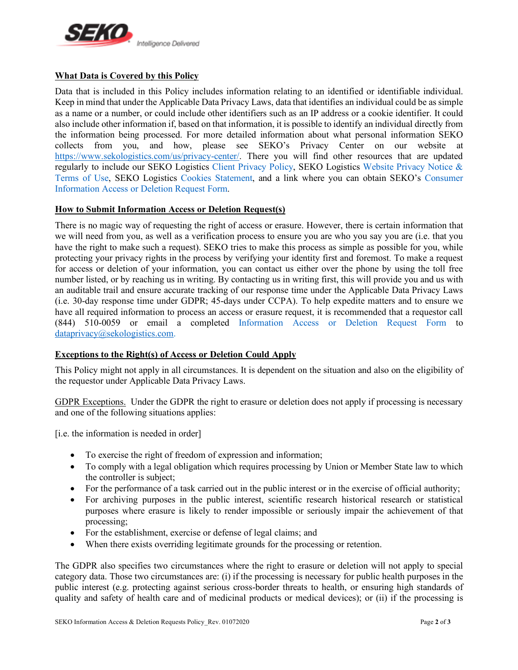

## **What Data is Covered by this Policy**

Data that is included in this Policy includes information relating to an identified or identifiable individual. Keep in mind that under the Applicable Data Privacy Laws, data that identifies an individual could be as simple as a name or a number, or could include other identifiers such as an IP address or a cookie identifier. It could also include other information if, based on that information, it is possible to identify an individual directly from the information being processed. For more detailed information about what personal information SEKO collects from you, and how, please see SEKO's Privacy Center on our website at https://www.sekologistics.com/us/privacy-center/. There you will find other resources that are updated regularly to include our SEKO Logistics Client Privacy Policy, SEKO Logistics Website Privacy Notice & Terms of Use, SEKO Logistics Cookies Statement, and a link where you can obtain SEKO's Consumer Information Access or Deletion Request Form.

## **How to Submit Information Access or Deletion Request(s)**

There is no magic way of requesting the right of access or erasure. However, there is certain information that we will need from you, as well as a verification process to ensure you are who you say you are (i.e. that you have the right to make such a request). SEKO tries to make this process as simple as possible for you, while protecting your privacy rights in the process by verifying your identity first and foremost. To make a request for access or deletion of your information, you can contact us either over the phone by using the toll free number listed, or by reaching us in writing. By contacting us in writing first, this will provide you and us with an auditable trail and ensure accurate tracking of our response time under the Applicable Data Privacy Laws (i.e. 30-day response time under GDPR; 45-days under CCPA). To help expedite matters and to ensure we have all required information to process an access or erasure request, it is recommended that a requestor call (844) 510-0059 or email a completed Information Access or Deletion Request Form to dataprivacy@sekologistics.com.

## **Exceptions to the Right(s) of Access or Deletion Could Apply**

This Policy might not apply in all circumstances. It is dependent on the situation and also on the eligibility of the requestor under Applicable Data Privacy Laws.

GDPR Exceptions. Under the GDPR the right to erasure or deletion does not apply if processing is necessary and one of the following situations applies:

[i.e. the information is needed in order]

- To exercise the right of freedom of expression and information;
- To comply with a legal obligation which requires processing by Union or Member State law to which the controller is subject;
- For the performance of a task carried out in the public interest or in the exercise of official authority;
- For archiving purposes in the public interest, scientific research historical research or statistical purposes where erasure is likely to render impossible or seriously impair the achievement of that processing;
- For the establishment, exercise or defense of legal claims; and
- When there exists overriding legitimate grounds for the processing or retention.

The GDPR also specifies two circumstances where the right to erasure or deletion will not apply to special category data. Those two circumstances are: (i) if the processing is necessary for public health purposes in the public interest (e.g. protecting against serious cross-border threats to health, or ensuring high standards of quality and safety of health care and of medicinal products or medical devices); or (ii) if the processing is